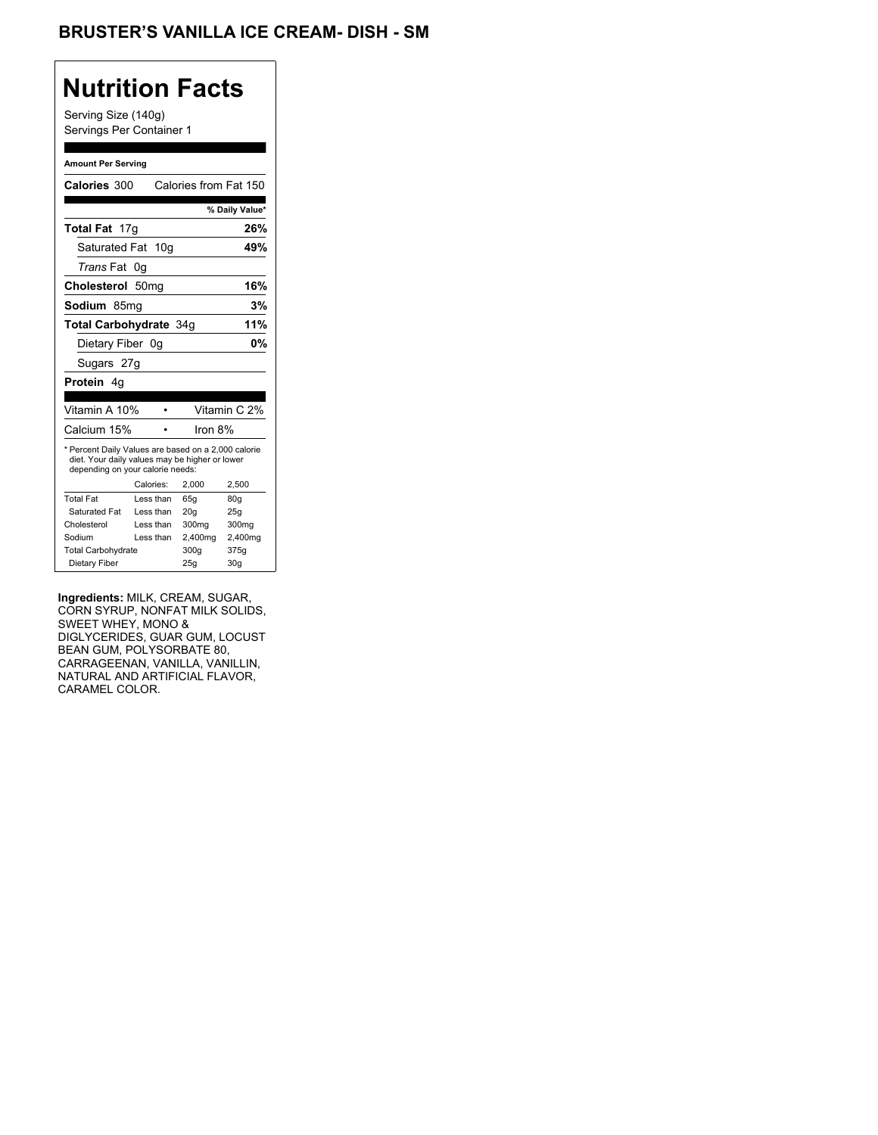## **Nutrition Facts**

Serving Size (140g) Servings Per Container 1

#### **Amount Per Serving**

| Calories 300                                                                                                                              |           |                 | Calories from Fat 150 |                 |
|-------------------------------------------------------------------------------------------------------------------------------------------|-----------|-----------------|-----------------------|-----------------|
|                                                                                                                                           |           |                 |                       | % Daily Value*  |
| <b>Total Fat</b> 17g                                                                                                                      |           |                 |                       | 26%             |
| Saturated Fat                                                                                                                             |           | 10 <sub>g</sub> |                       | 49%             |
| <i>Trans</i> Fat                                                                                                                          | 0g        |                 |                       |                 |
| Cholesterol 50mg                                                                                                                          |           |                 |                       | 16%             |
| Sodium 85mg                                                                                                                               |           |                 |                       | 3%              |
| <b>Total Carbohydrate 34g</b>                                                                                                             |           |                 |                       | 11%             |
| Dietary Fiber 0g                                                                                                                          |           |                 |                       | 0%              |
| Sugars 27g                                                                                                                                |           |                 |                       |                 |
| Protein 4q                                                                                                                                |           |                 |                       |                 |
|                                                                                                                                           |           |                 |                       |                 |
| Vitamin A 10%                                                                                                                             |           |                 |                       | Vitamin C 2%    |
| Calcium 15%                                                                                                                               |           |                 | Iron 8%               |                 |
| * Percent Daily Values are based on a 2,000 calorie<br>diet. Your daily values may be higher or lower<br>depending on your calorie needs: |           |                 |                       |                 |
|                                                                                                                                           | Calories: |                 | 2.000                 | 2,500           |
| <b>Total Fat</b>                                                                                                                          |           | Less than       | 65g                   | 80 <sub>g</sub> |
| Saturated Fat                                                                                                                             |           | Less than       | 20q                   | 25q             |
| Cholesterol                                                                                                                               |           | Less than       | 300mg                 | 300mg           |
| Sodium                                                                                                                                    |           | Less than       | 2,400mg               | 2,400mg         |
| <b>Total Carbohydrate</b>                                                                                                                 |           |                 | 300g                  | 375g            |
| Dietary Fiber                                                                                                                             |           |                 | 25q                   | 30 <sub>g</sub> |

**Ingredients:** MILK, CREAM, SUGAR, CORN SYRUP, NONFAT MILK SOLIDS, SWEET WHEY, MONO & DIGLYCERIDES, GUAR GUM, LOCUST BEAN GUM, POLYSORBATE 80, CARRAGEENAN, VANILLA, VANILLIN, NATURAL AND ARTIFICIAL FLAVOR, CARAMEL COLOR.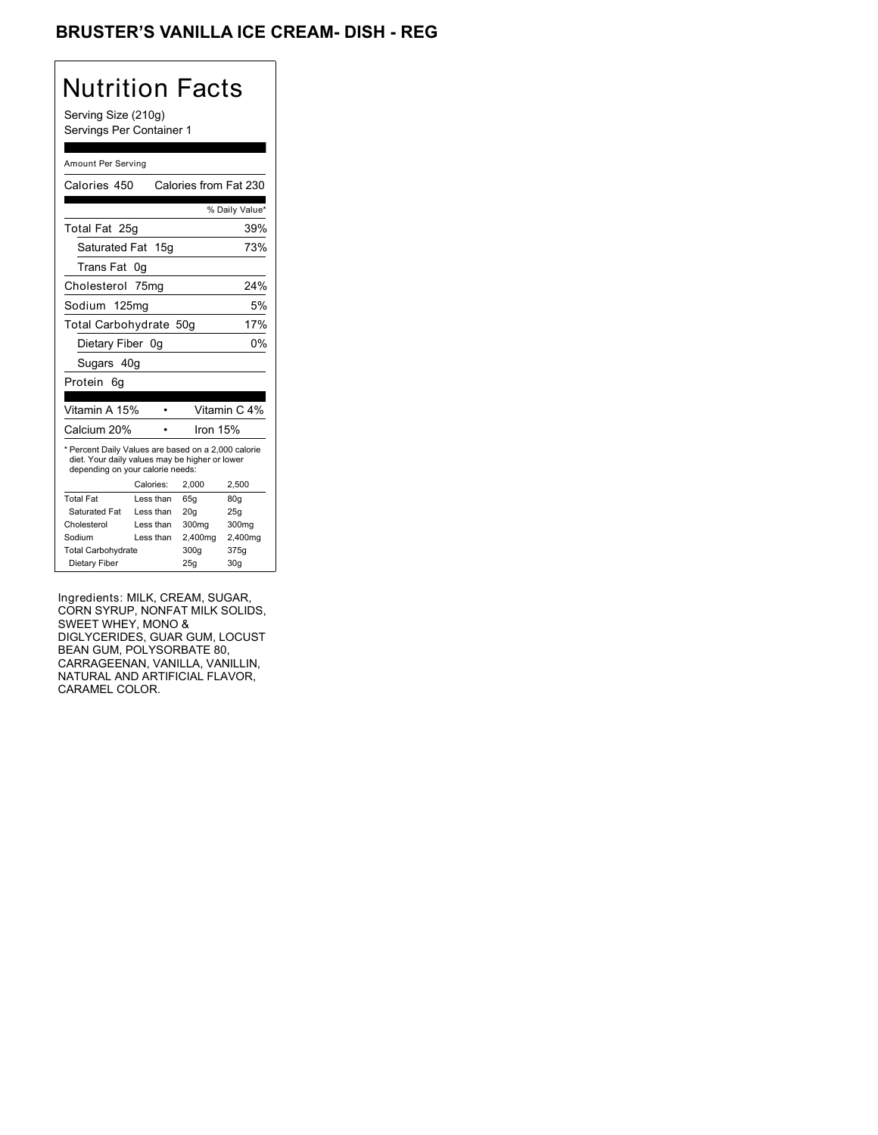### BRUSTER'S VANILLA ICE CREAM- DISH - REG

# Nutrition Facts

Serving Size (210g) Servings Per Container 1

#### Amount Per Serving

| Calories 450                                                                                                                              |           |           |          | Calories from Fat 230 |
|-------------------------------------------------------------------------------------------------------------------------------------------|-----------|-----------|----------|-----------------------|
|                                                                                                                                           |           |           |          | % Daily Value*        |
| Total Fat 25g                                                                                                                             |           |           |          | 39%                   |
| Saturated Fat 15g                                                                                                                         |           |           |          | 73%                   |
| <b>Trans Fat</b>                                                                                                                          | 0g        |           |          |                       |
| Cholesterol 75mg                                                                                                                          |           |           |          | 24%                   |
| Sodium 125mg                                                                                                                              |           |           |          | 5%                    |
| Total Carbohydrate 50g                                                                                                                    |           |           |          | 17%                   |
| Dietary Fiber 0q                                                                                                                          |           |           |          | 0%                    |
| Sugars 40g                                                                                                                                |           |           |          |                       |
| Protein<br>6g                                                                                                                             |           |           |          |                       |
|                                                                                                                                           |           |           |          |                       |
| Vitamin A 15%                                                                                                                             |           |           |          | Vitamin C 4%          |
| Calcium 20%                                                                                                                               |           |           | Iron 15% |                       |
| * Percent Daily Values are based on a 2,000 calorie<br>diet. Your daily values may be higher or lower<br>depending on your calorie needs: |           |           |          |                       |
|                                                                                                                                           | Calories: |           | 2.000    | 2,500                 |
| <b>Total Fat</b>                                                                                                                          |           | Less than | 65q      | 80 <sub>g</sub>       |
| Saturated Fat                                                                                                                             |           | Less than | 20q      | 25q                   |
| Cholesterol                                                                                                                               |           | Less than | 300mg    | 300mg                 |
| Sodium                                                                                                                                    |           | Less than | 2,400mg  | 2,400mg               |
| <b>Total Carbohydrate</b>                                                                                                                 |           |           | 300a     | 375g                  |
| Dietary Fiber                                                                                                                             |           |           | 25q      | 30 <sub>g</sub>       |

Ingredients: MILK, CREAM, SUGAR, CORN SYRUP, NONFAT MILK SOLIDS, SWEET WHEY, MONO & DIGLYCERIDES, GUAR GUM, LOCUST BEAN GUM, POLYSORBATE 80, CARRAGEENAN, VANILLA, VANILLIN, NATURAL AND ARTIFICIAL FLAVOR, CARAMEL COLOR.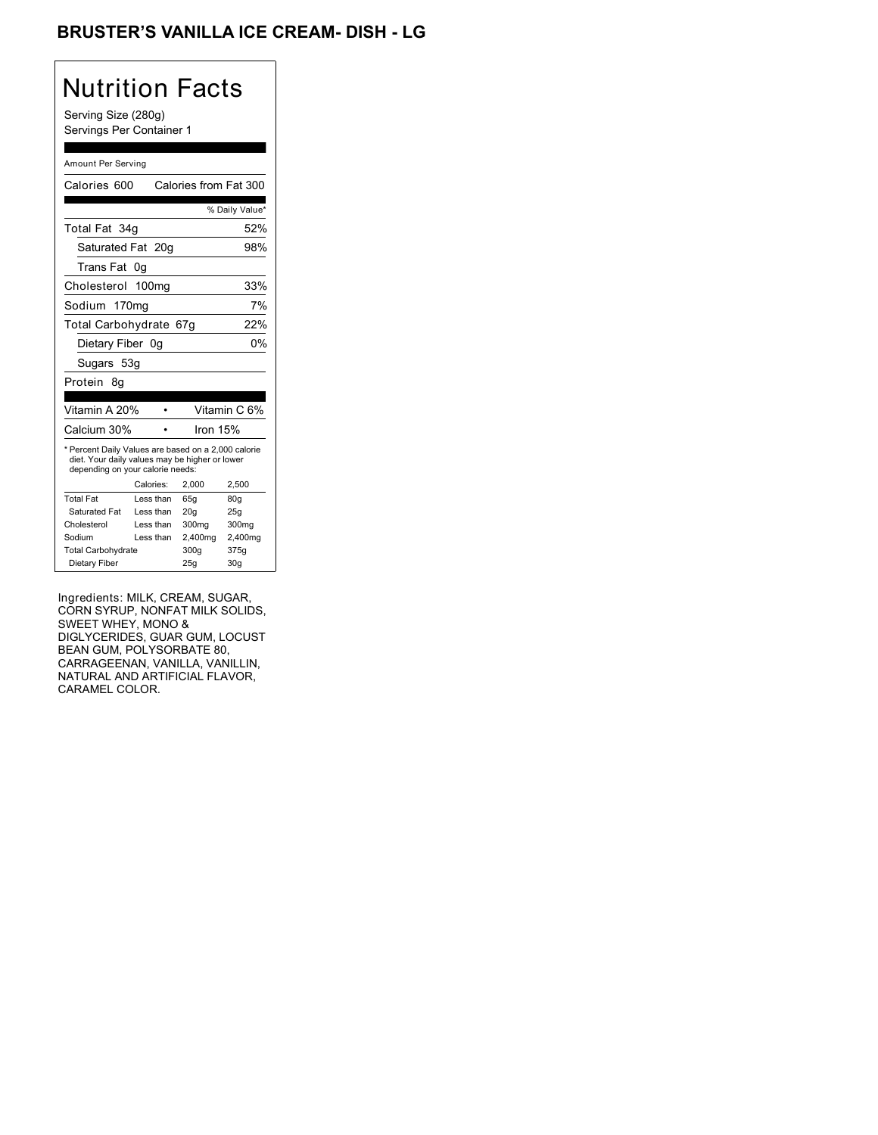### BRUSTER'S VANILLA ICE CREAM- DISH - LG

## Nutrition Facts

Serving Size (280g) Servings Per Container 1

#### Amount Per Serving

| Calories 600                                                                                                                              |                   | Calories from Fat 300 |                 |
|-------------------------------------------------------------------------------------------------------------------------------------------|-------------------|-----------------------|-----------------|
|                                                                                                                                           |                   |                       | % Daily Value*  |
| Total Fat 34g                                                                                                                             |                   |                       | 52%             |
| Saturated Fat 20g                                                                                                                         |                   |                       | 98%             |
| <b>Trans Fat</b>                                                                                                                          | 0g                |                       |                 |
| Cholesterol 100mg                                                                                                                         |                   |                       | 33%             |
| Sodium                                                                                                                                    | 170 <sub>mg</sub> |                       | 7%              |
| Total Carbohydrate 67g                                                                                                                    |                   |                       | 22%             |
| Dietary Fiber 0g                                                                                                                          |                   |                       | 0%              |
| Sugars 53g                                                                                                                                |                   |                       |                 |
| Protein<br>8q                                                                                                                             |                   |                       |                 |
|                                                                                                                                           |                   |                       |                 |
| Vitamin A 20%                                                                                                                             |                   |                       | Vitamin C 6%    |
| Calcium 30%                                                                                                                               |                   | Iron 15%              |                 |
| * Percent Daily Values are based on a 2,000 calorie<br>diet. Your daily values may be higher or lower<br>depending on your calorie needs: |                   |                       |                 |
|                                                                                                                                           | Calories:         | 2,000                 | 2,500           |
| <b>Total Fat</b>                                                                                                                          | Less than         | 65q                   | 80q             |
| Saturated Fat                                                                                                                             | Less than         | 20q                   | 25g             |
| Cholesterol                                                                                                                               | Less than         | 300mg                 | 300mg           |
| Sodium                                                                                                                                    | Less than         | 2,400mg               | 2,400mg         |
| <b>Total Carbohydrate</b>                                                                                                                 |                   | 300 <sub>a</sub>      | 375g            |
| Dietary Fiber                                                                                                                             |                   | 25q                   | 30 <sub>q</sub> |

Ingredients: MILK, CREAM, SUGAR, CORN SYRUP, NONFAT MILK SOLIDS, SWEET WHEY, MONO & DIGLYCERIDES, GUAR GUM, LOCUST BEAN GUM, POLYSORBATE 80, CARRAGEENAN, VANILLA, VANILLIN, NATURAL AND ARTIFICIAL FLAVOR, CARAMEL COLOR.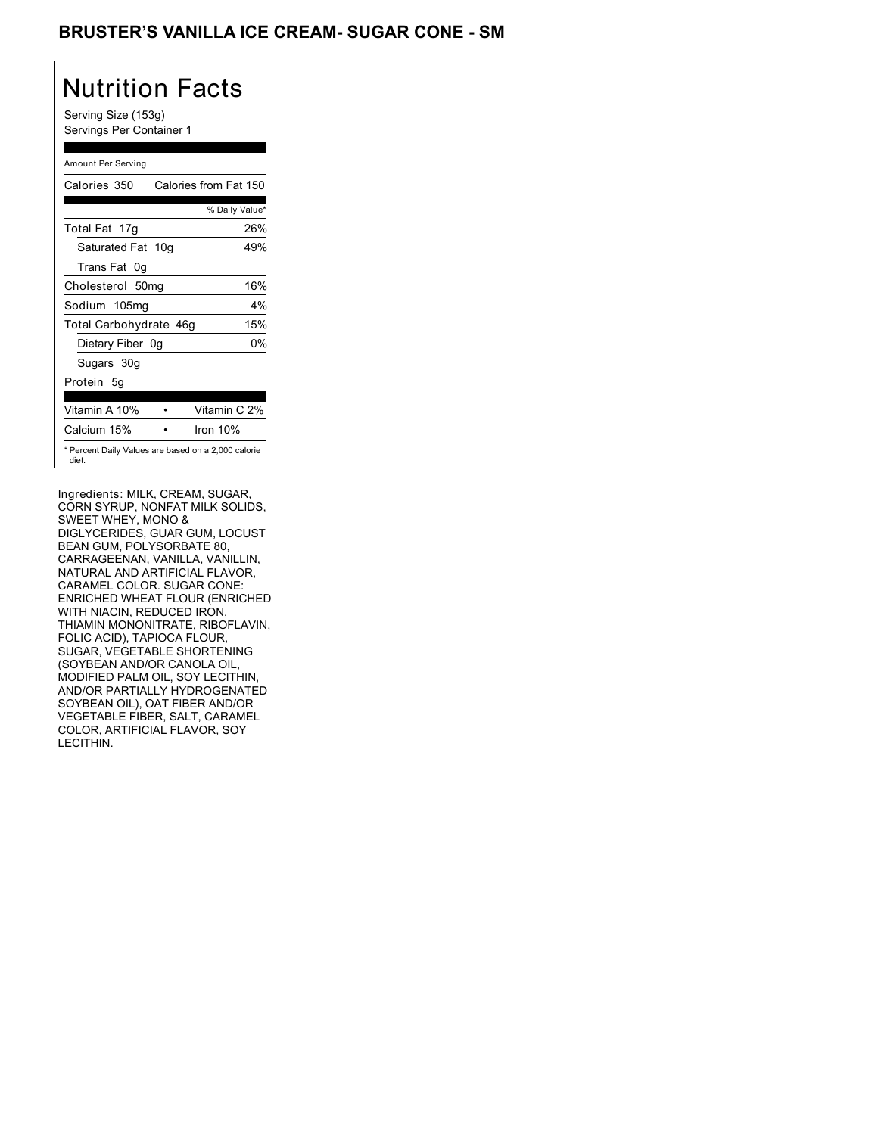### BRUSTER'S VANILLA ICE CREAM- SUGAR CONE - SM

# Nutrition Facts

Serving Size (153g) Servings Per Container 1

#### Amount Per Serving

| Calories 350           | Calories from Fat 150                               |
|------------------------|-----------------------------------------------------|
|                        | % Daily Value*                                      |
| Total Fat 17g          | 26%                                                 |
| Saturated Fat 10g      | 49%                                                 |
| Trans Fat 0q           |                                                     |
| Cholesterol 50mg       | 16%                                                 |
| Sodium 105mg           | $4\%$                                               |
| Total Carbohydrate 46g | 15%                                                 |
| Dietary Fiber 0g       | 0%                                                  |
| Sugars 30g             |                                                     |
| Protein 5q             |                                                     |
|                        |                                                     |
| Vitamin A 10%          | Vitamin C 2%                                        |
| Calcium 15%            | Iron $10%$                                          |
| diet.                  | * Percent Daily Values are based on a 2,000 calorie |

Ingredients: MILK, CREAM, SUGAR, CORN SYRUP, NONFAT MILK SOLIDS, SWEET WHEY, MONO & DIGLYCERIDES, GUAR GUM, LOCUST BEAN GUM, POLYSORBATE 80, CARRAGEENAN, VANILLA, VANILLIN, NATURAL AND ARTIFICIAL FLAVOR, CARAMEL COLOR. SUGAR CONE: ENRICHED WHEAT FLOUR (ENRICHED WITH NIACIN, REDUCED IRON, THIAMIN MONONITRATE, RIBOFLAVIN, FOLIC ACID), TAPIOCA FLOUR, SUGAR, VEGETABLE SHORTENING (SOYBEAN AND/OR CANOLA OIL, MODIFIED PALM OIL, SOY LECITHIN, AND/OR PARTIALLY HYDROGENATED SOYBEAN OIL), OAT FIBER AND/OR VEGETABLE FIBER, SALT, CARAMEL COLOR, ARTIFICIAL FLAVOR, SOY LECITHIN.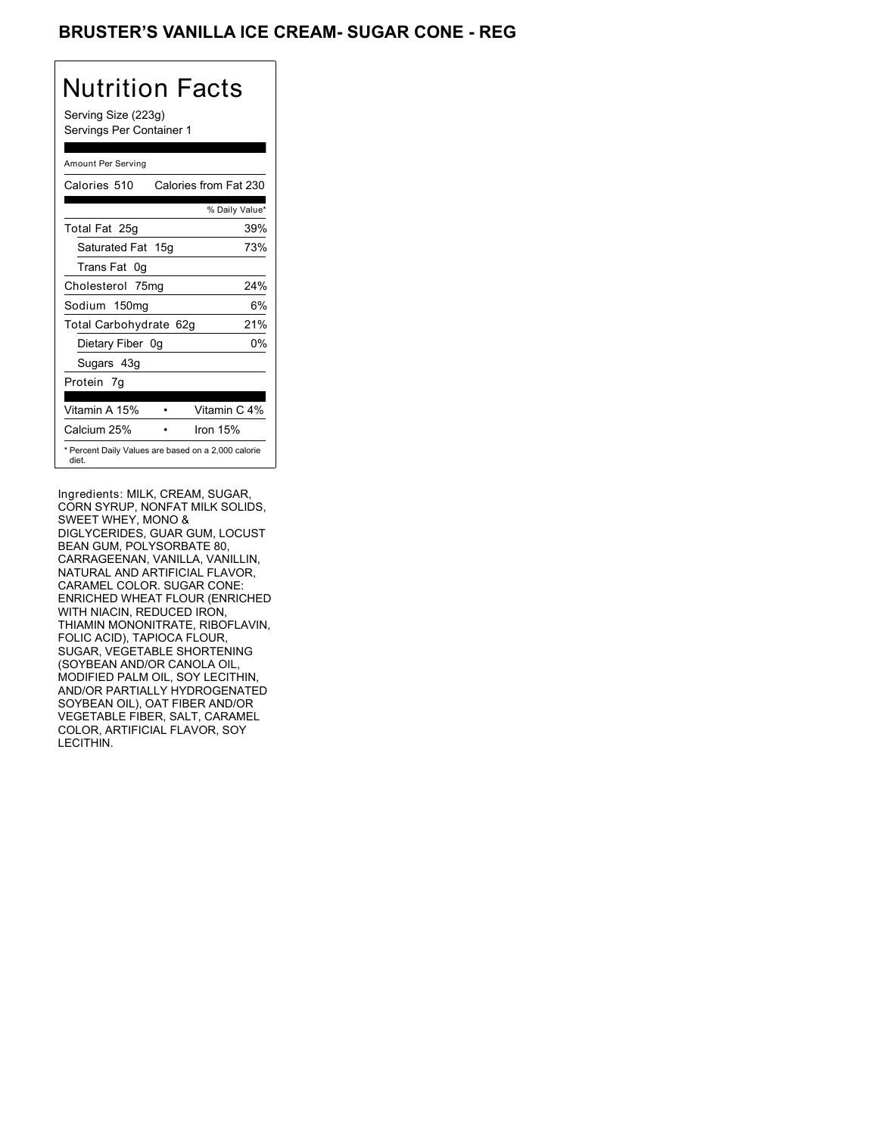### **BRUSTER'S VANILLA ICE CREAM- SUGAR CONE - REG**

## Nutrition Facts

Serving Size (223g) Servings Per Container 1

#### Amount Per Serving

| Calories 510           | Calories from Fat 230                               |
|------------------------|-----------------------------------------------------|
|                        | % Daily Value*                                      |
| Total Fat 25g          | 39%                                                 |
| Saturated Fat 15g      | 73%                                                 |
| Trans Fat 0q           |                                                     |
| Cholesterol 75mg       | 24%                                                 |
| Sodium 150mg           | 6%                                                  |
| Total Carbohydrate 62g | 21%                                                 |
| Dietary Fiber 0g       | 0%                                                  |
| Sugars 43g             |                                                     |
| Protein 7q             |                                                     |
|                        |                                                     |
| Vitamin A 15%          | Vitamin C 4%                                        |
| Calcium 25%            | Iron $15%$                                          |
| diet.                  | * Percent Daily Values are based on a 2,000 calorie |

Ingredients: MILK, CREAM, SUGAR, CORN SYRUP, NONFAT MILK SOLIDS, SWEET WHEY, MONO & DIGLYCERIDES, GUAR GUM, LOCUST BEAN GUM, POLYSORBATE 80, CARRAGEENAN, VANILLA, VANILLIN, NATURAL AND ARTIFICIAL FLAVOR, CARAMEL COLOR. SUGAR CONE: ENRICHED WHEAT FLOUR (ENRICHED WITH NIACIN, REDUCED IRON, THIAMIN MONONITRATE, RIBOFLAVIN, FOLIC ACID), TAPIOCA FLOUR, SUGAR, VEGETABLE SHORTENING (SOYBEAN AND/OR CANOLA OIL, MODIFIED PALM OIL, SOY LECITHIN, AND/OR PARTIALLY HYDROGENATED SOYBEAN OIL), OAT FIBER AND/OR VEGETABLE FIBER, SALT, CARAMEL COLOR, ARTIFICIAL FLAVOR, SOY LECITHIN.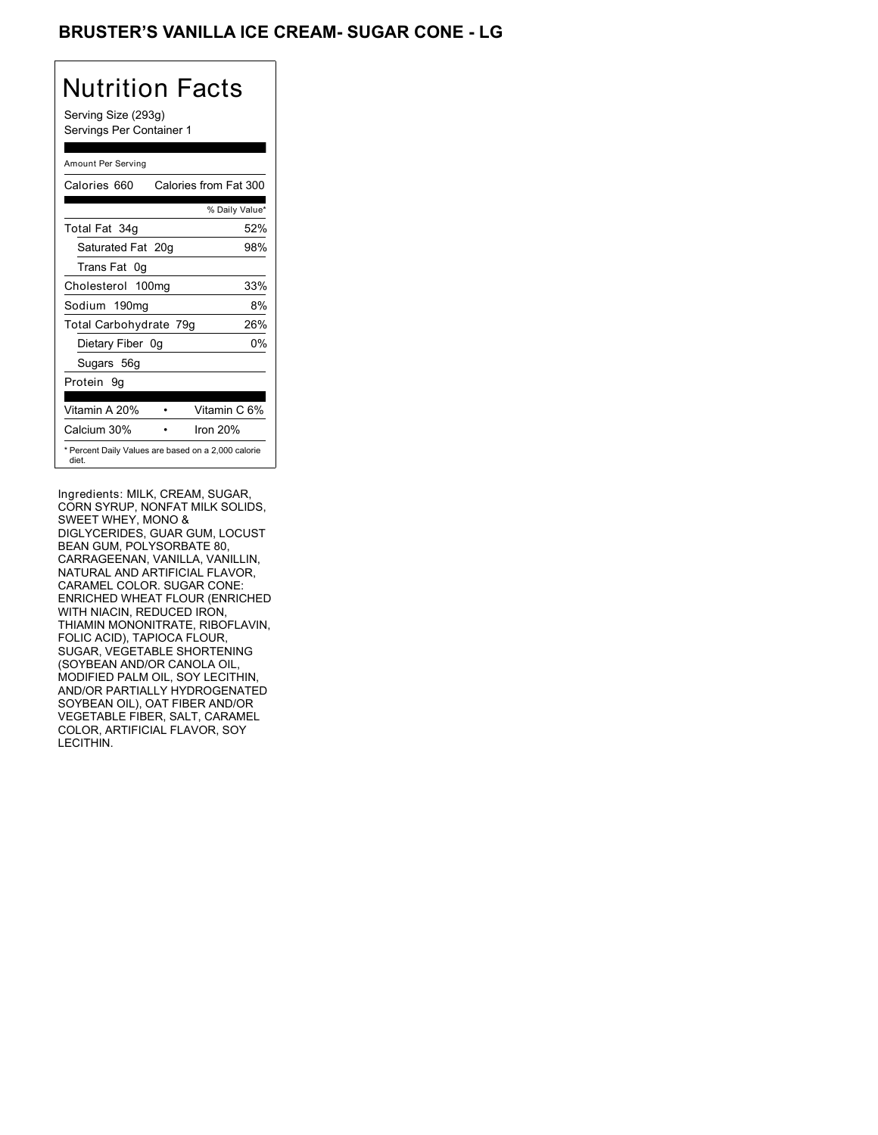### BRUSTER'S VANILLA ICE CREAM- SUGAR CONE - LG

## Nutrition Facts

Serving Size (293g) Servings Per Container 1

#### Amount Per Serving

| Calories 660           | Calories from Fat 300                               |
|------------------------|-----------------------------------------------------|
|                        | % Daily Value*                                      |
| Total Fat 34g          | 52%                                                 |
| Saturated Fat 20g      | 98%                                                 |
| Trans Fat 0q           |                                                     |
| Cholesterol 100mg      | 33%                                                 |
| Sodium 190mg           | 8%                                                  |
| Total Carbohydrate 79g | 26%                                                 |
| Dietary Fiber 0g       | 0%                                                  |
| Sugars 56g             |                                                     |
| Protein 9q             |                                                     |
| Vitamin A 20%          | Vitamin C 6%                                        |
| Calcium 30%            | Iron $20%$                                          |
| diet.                  | * Percent Daily Values are based on a 2,000 calorie |

Ingredients: MILK, CREAM, SUGAR, CORN SYRUP, NONFAT MILK SOLIDS, SWEET WHEY, MONO & DIGLYCERIDES, GUAR GUM, LOCUST BEAN GUM, POLYSORBATE 80, CARRAGEENAN, VANILLA, VANILLIN, NATURAL AND ARTIFICIAL FLAVOR, CARAMEL COLOR. SUGAR CONE: ENRICHED WHEAT FLOUR (ENRICHED WITH NIACIN, REDUCED IRON, THIAMIN MONONITRATE, RIBOFLAVIN, FOLIC ACID), TAPIOCA FLOUR, SUGAR, VEGETABLE SHORTENING (SOYBEAN AND/OR CANOLA OIL, MODIFIED PALM OIL, SOY LECITHIN, AND/OR PARTIALLY HYDROGENATED SOYBEAN OIL), OAT FIBER AND/OR VEGETABLE FIBER, SALT, CARAMEL COLOR, ARTIFICIAL FLAVOR, SOY LECITHIN.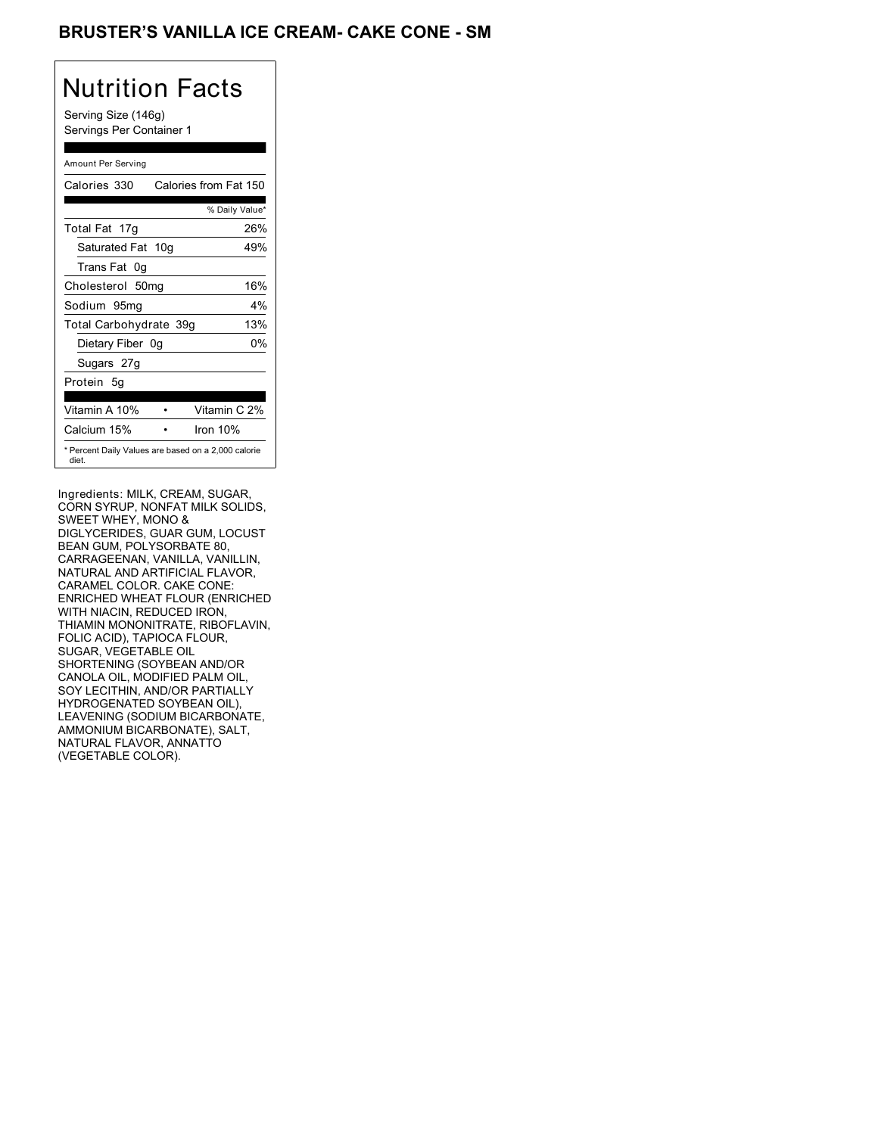### BRUSTER'S VANILLA ICE CREAM- CAKE CONE - SM

# Nutrition Facts

Serving Size (146g) Servings Per Container 1

#### Amount Per Serving

| Calories 330           | Calories from Fat 150                               |
|------------------------|-----------------------------------------------------|
|                        | % Daily Value*                                      |
| Total Fat 17g          | 26%                                                 |
| Saturated Fat 10g      | 49%                                                 |
| Trans Fat 0q           |                                                     |
| Cholesterol 50mg       | 16%                                                 |
| Sodium 95mg            | $4\%$                                               |
| Total Carbohydrate 39g | 13%                                                 |
| Dietary Fiber 0g       | 0%                                                  |
| Sugars 27g             |                                                     |
| Protein 5q             |                                                     |
|                        |                                                     |
| Vitamin A 10%          | Vitamin C 2%                                        |
| Calcium 15%            | Iron $10%$                                          |
| diet.                  | * Percent Daily Values are based on a 2,000 calorie |

Ingredients: MILK, CREAM, SUGAR, CORN SYRUP, NONFAT MILK SOLIDS, SWEET WHEY, MONO & DIGLYCERIDES, GUAR GUM, LOCUST BEAN GUM, POLYSORBATE 80, CARRAGEENAN, VANILLA, VANILLIN, NATURAL AND ARTIFICIAL FLAVOR, CARAMEL COLOR. CAKE CONE: ENRICHED WHEAT FLOUR (ENRICHED WITH NIACIN, REDUCED IRON, THIAMIN MONONITRATE, RIBOFLAVIN, FOLIC ACID), TAPIOCA FLOUR, SUGAR, VEGETABLE OIL SHORTENING (SOYBEAN AND/OR CANOLA OIL, MODIFIED PALM OIL, SOY LECITHIN, AND/OR PARTIALLY HYDROGENATED SOYBEAN OIL), LEAVENING (SODIUM BICARBONATE, AMMONIUM BICARBONATE), SALT, NATURAL FLAVOR, ANNATTO (VEGETABLE COLOR).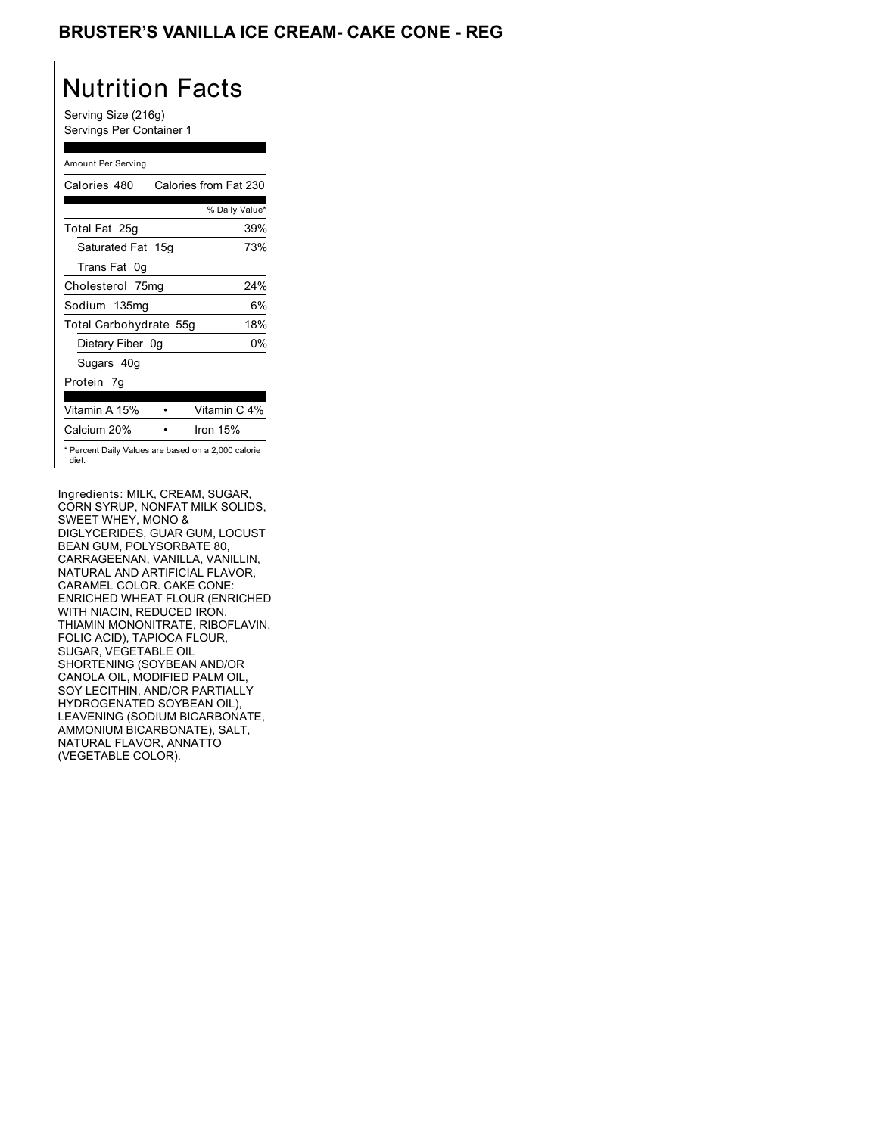### **BRUSTER'S VANILLA ICE CREAM- CAKE CONE - REG**

# Nutrition Facts

Serving Size (216g) Servings Per Container 1

#### Amount Per Serving

| Calories 480           | Calories from Fat 230                               |
|------------------------|-----------------------------------------------------|
|                        | % Daily Value*                                      |
| Total Fat 25g          | 39%                                                 |
| Saturated Fat 15g      | 73%                                                 |
| Trans Fat 0g           |                                                     |
| Cholesterol 75mg       | 24%                                                 |
| Sodium 135mg           | 6%                                                  |
| Total Carbohydrate 55g | 18%                                                 |
| Dietary Fiber 0g       | 0%                                                  |
| Sugars 40g             |                                                     |
| Protein 7q             |                                                     |
| Vitamin A 15%          | Vitamin C 4%                                        |
| Calcium 20%            | Iron 15%                                            |
| diet.                  | * Percent Daily Values are based on a 2,000 calorie |

Ingredients: MILK, CREAM, SUGAR, CORN SYRUP, NONFAT MILK SOLIDS, SWEET WHEY, MONO & DIGLYCERIDES, GUAR GUM, LOCUST BEAN GUM, POLYSORBATE 80, CARRAGEENAN, VANILLA, VANILLIN, NATURAL AND ARTIFICIAL FLAVOR, CARAMEL COLOR. CAKE CONE: ENRICHED WHEAT FLOUR (ENRICHED WITH NIACIN, REDUCED IRON, THIAMIN MONONITRATE, RIBOFLAVIN, FOLIC ACID), TAPIOCA FLOUR, SUGAR, VEGETABLE OIL SHORTENING (SOYBEAN AND/OR CANOLA OIL, MODIFIED PALM OIL, SOY LECITHIN, AND/OR PARTIALLY HYDROGENATED SOYBEAN OIL), LEAVENING (SODIUM BICARBONATE, AMMONIUM BICARBONATE), SALT, NATURAL FLAVOR, ANNATTO (VEGETABLE COLOR).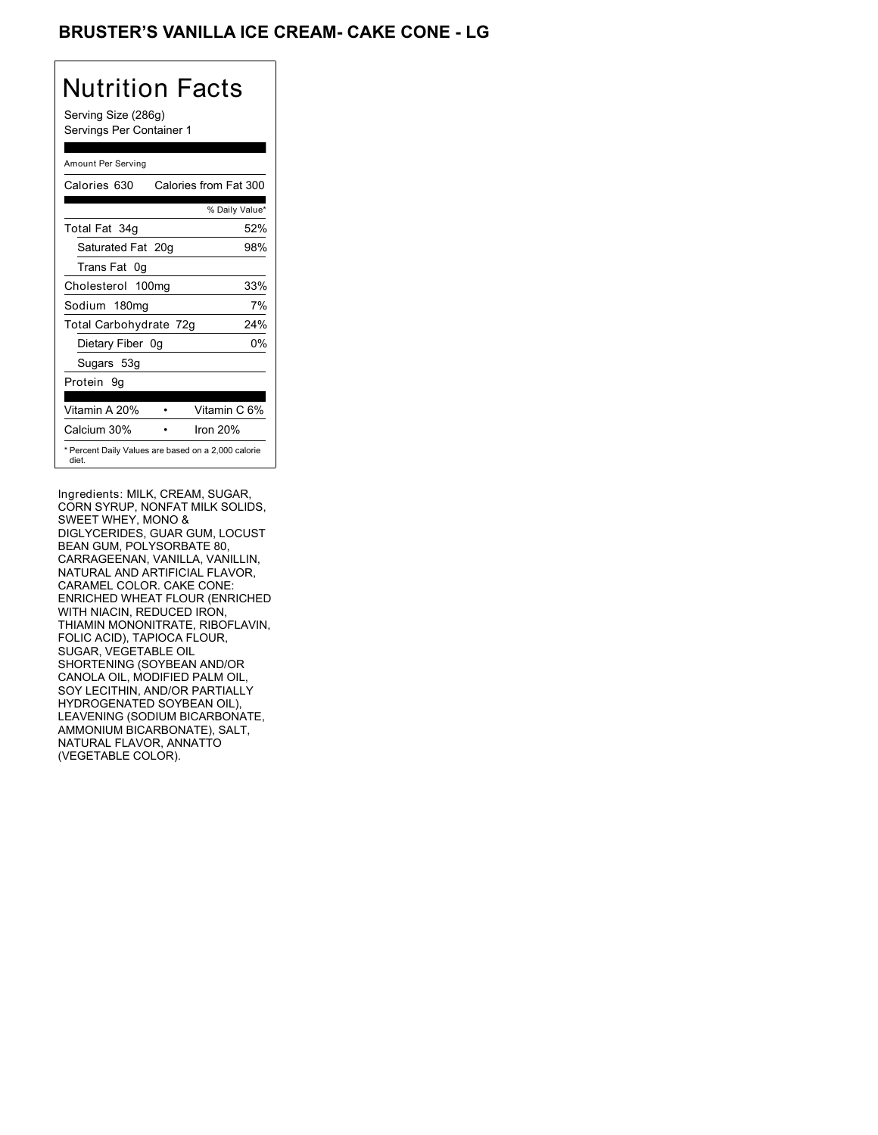### BRUSTER'S VANILLA ICE CREAM- CAKE CONE - LG

# Nutrition Facts

Serving Size (286g) Servings Per Container 1

#### Amount Per Serving

| Calories 630           | Calories from Fat 300                               |
|------------------------|-----------------------------------------------------|
|                        | % Daily Value*                                      |
| Total Fat 34g          | 52%                                                 |
| Saturated Fat 20g      | 98%                                                 |
| Trans Fat 0q           |                                                     |
| Cholesterol 100mg      | 33%                                                 |
| Sodium 180mg           | 7%                                                  |
| Total Carbohydrate 72g | 24%                                                 |
| Dietary Fiber 0g       | 0%                                                  |
| Sugars 53g             |                                                     |
| Protein 9q             |                                                     |
|                        |                                                     |
| Vitamin A 20%          | Vitamin C 6%                                        |
| Calcium 30%            | Iron 20%                                            |
| diet.                  | * Percent Daily Values are based on a 2,000 calorie |

Ingredients: MILK, CREAM, SUGAR, CORN SYRUP, NONFAT MILK SOLIDS, SWEET WHEY, MONO & DIGLYCERIDES, GUAR GUM, LOCUST BEAN GUM, POLYSORBATE 80, CARRAGEENAN, VANILLA, VANILLIN, NATURAL AND ARTIFICIAL FLAVOR, CARAMEL COLOR. CAKE CONE: ENRICHED WHEAT FLOUR (ENRICHED WITH NIACIN, REDUCED IRON, THIAMIN MONONITRATE, RIBOFLAVIN, FOLIC ACID), TAPIOCA FLOUR, SUGAR, VEGETABLE OIL SHORTENING (SOYBEAN AND/OR CANOLA OIL, MODIFIED PALM OIL, SOY LECITHIN, AND/OR PARTIALLY HYDROGENATED SOYBEAN OIL), LEAVENING (SODIUM BICARBONATE, AMMONIUM BICARBONATE), SALT, NATURAL FLAVOR, ANNATTO (VEGETABLE COLOR).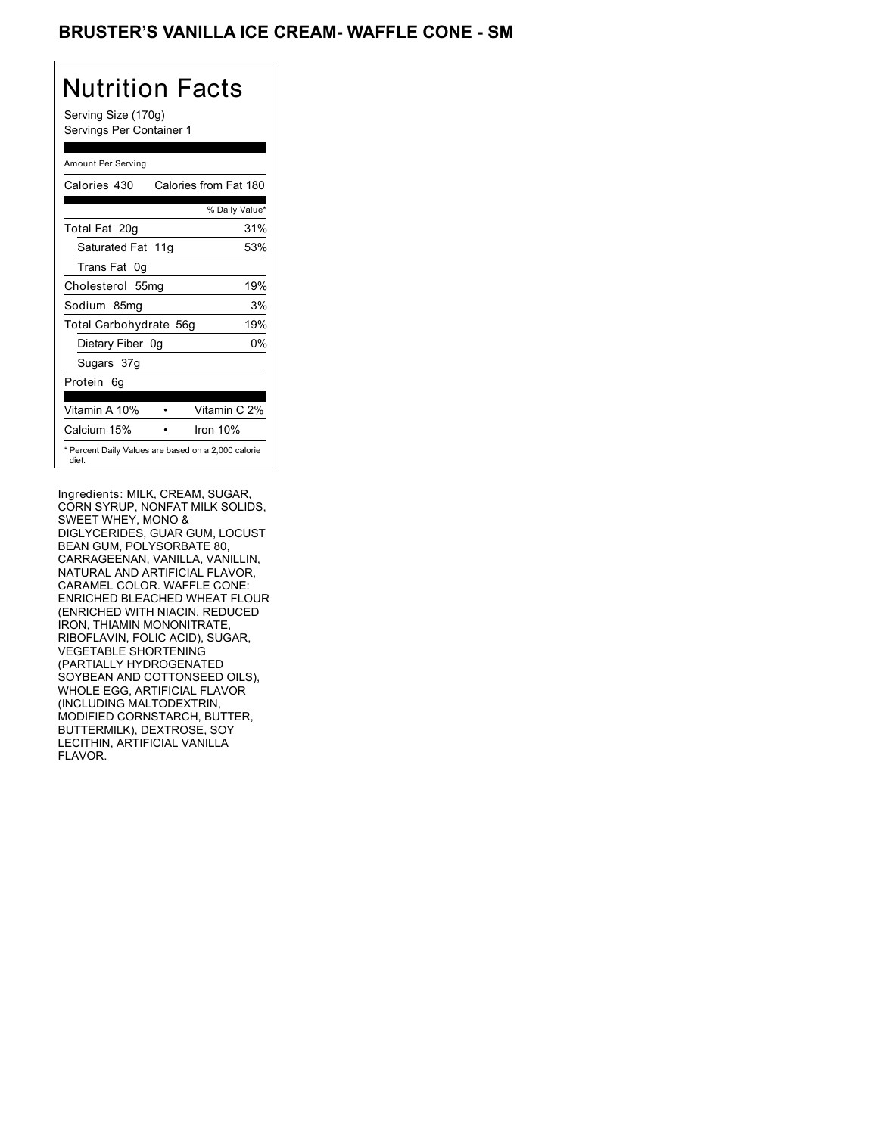### BRUSTER'S VANILLA ICE CREAM- WAFFLE CONE - SM

## Nutrition Facts

Serving Size (170g) Servings Per Container 1

#### Amount Per Serving

| Calories 430                                                 | Calories from Fat 180 |
|--------------------------------------------------------------|-----------------------|
|                                                              | % Daily Value*        |
| Total Fat 20g                                                | 31%                   |
| Saturated Fat 11g                                            | 53%                   |
| Trans Fat 0q                                                 |                       |
| Cholesterol 55mg                                             | 19%                   |
| Sodium 85mg                                                  | 3%                    |
| Total Carbohydrate 56g                                       | 19%                   |
| Dietary Fiber 0g                                             | 0%                    |
| Sugars 37g                                                   |                       |
| Protein 6q                                                   |                       |
| Vitamin A 10%                                                | Vitamin C 2%          |
| Calcium 15%                                                  | Iron $10%$            |
| * Percent Daily Values are based on a 2,000 calorie<br>diet. |                       |

Ingredients: MILK, CREAM, SUGAR, CORN SYRUP, NONFAT MILK SOLIDS, SWEET WHEY, MONO & DIGLYCERIDES, GUAR GUM, LOCUST BEAN GUM, POLYSORBATE 80, CARRAGEENAN, VANILLA, VANILLIN, NATURAL AND ARTIFICIAL FLAVOR, CARAMEL COLOR. WAFFLE CONE: ENRICHED BLEACHED WHEAT FLOUR (ENRICHED WITH NIACIN, REDUCED IRON, THIAMIN MONONITRATE, RIBOFLAVIN, FOLIC ACID), SUGAR, VEGETABLE SHORTENING (PARTIALLY HYDROGENATED SOYBEAN AND COTTONSEED OILS), WHOLE EGG, ARTIFICIAL FLAVOR (INCLUDING MALTODEXTRIN, MODIFIED CORNSTARCH, BUTTER, BUTTERMILK), DEXTROSE, SOY LECITHIN, ARTIFICIAL VANILLA FLAVOR.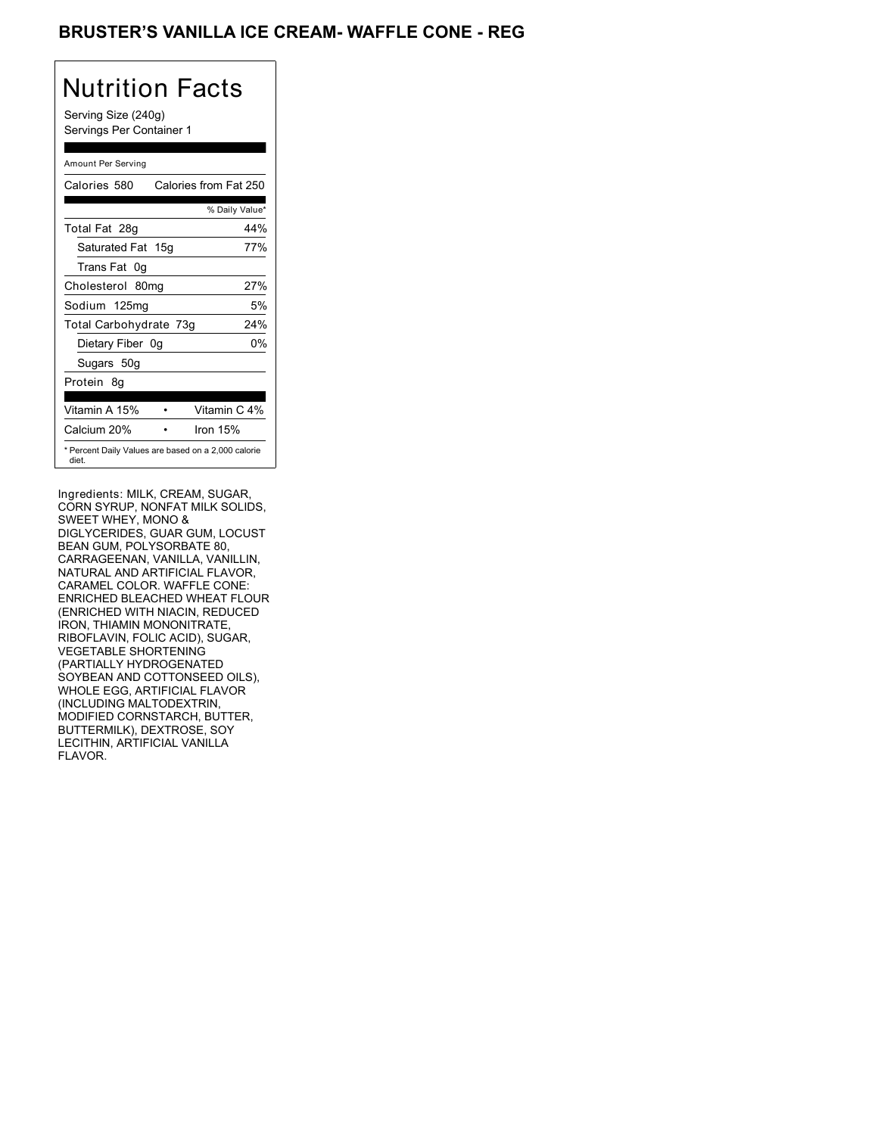### BRUSTER'S VANILLA ICE CREAM- WAFFLE CONE - REG

## Nutrition Facts

Serving Size (240g) Servings Per Container 1

#### Amount Per Serving

| Calories 580           | Calories from Fat 250                               |
|------------------------|-----------------------------------------------------|
|                        | % Daily Value*                                      |
| Total Fat 28g          | 44%                                                 |
| Saturated Fat 15g      | 77%                                                 |
| Trans Fat 0q           |                                                     |
| Cholesterol 80mg       | 27%                                                 |
| Sodium 125mg           | 5%                                                  |
| Total Carbohydrate 73g | 24%                                                 |
| Dietary Fiber 0g       | 0%                                                  |
| Sugars 50g             |                                                     |
| Protein 8q             |                                                     |
| Vitamin A 15%          | Vitamin C 4%                                        |
| Calcium 20%            | Iron $15%$                                          |
| diet.                  | * Percent Daily Values are based on a 2,000 calorie |

Ingredients: MILK, CREAM, SUGAR, CORN SYRUP, NONFAT MILK SOLIDS, SWEET WHEY, MONO & DIGLYCERIDES, GUAR GUM, LOCUST BEAN GUM, POLYSORBATE 80, CARRAGEENAN, VANILLA, VANILLIN, NATURAL AND ARTIFICIAL FLAVOR, CARAMEL COLOR. WAFFLE CONE: ENRICHED BLEACHED WHEAT FLOUR (ENRICHED WITH NIACIN, REDUCED IRON, THIAMIN MONONITRATE, RIBOFLAVIN, FOLIC ACID), SUGAR, VEGETABLE SHORTENING (PARTIALLY HYDROGENATED SOYBEAN AND COTTONSEED OILS), WHOLE EGG, ARTIFICIAL FLAVOR (INCLUDING MALTODEXTRIN, MODIFIED CORNSTARCH, BUTTER, BUTTERMILK), DEXTROSE, SOY LECITHIN, ARTIFICIAL VANILLA FLAVOR.